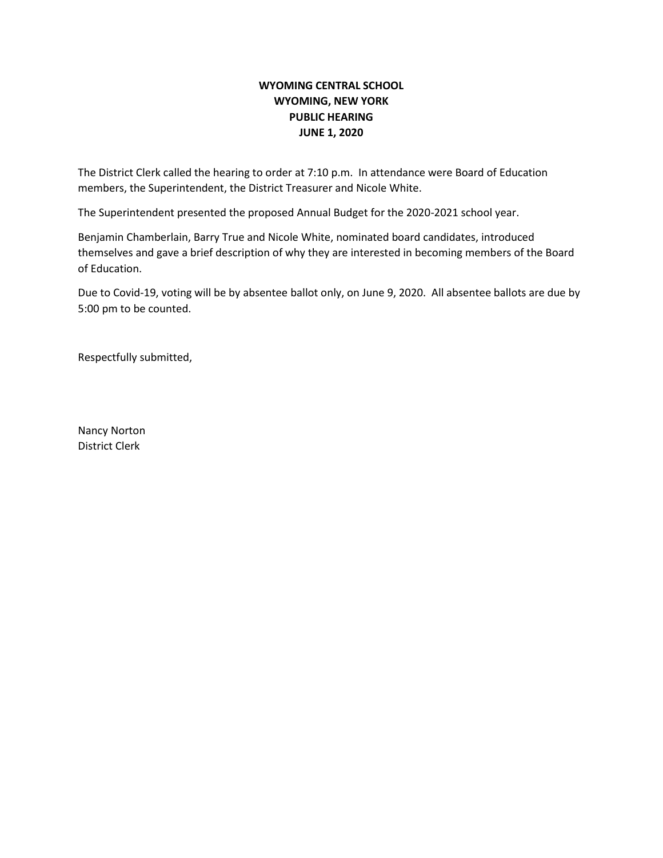# **WYOMING CENTRAL SCHOOL WYOMING, NEW YORK PUBLIC HEARING JUNE 1, 2020**

The District Clerk called the hearing to order at 7:10 p.m. In attendance were Board of Education members, the Superintendent, the District Treasurer and Nicole White.

The Superintendent presented the proposed Annual Budget for the 2020-2021 school year.

Benjamin Chamberlain, Barry True and Nicole White, nominated board candidates, introduced themselves and gave a brief description of why they are interested in becoming members of the Board of Education.

Due to Covid-19, voting will be by absentee ballot only, on June 9, 2020. All absentee ballots are due by 5:00 pm to be counted.

Respectfully submitted,

Nancy Norton District Clerk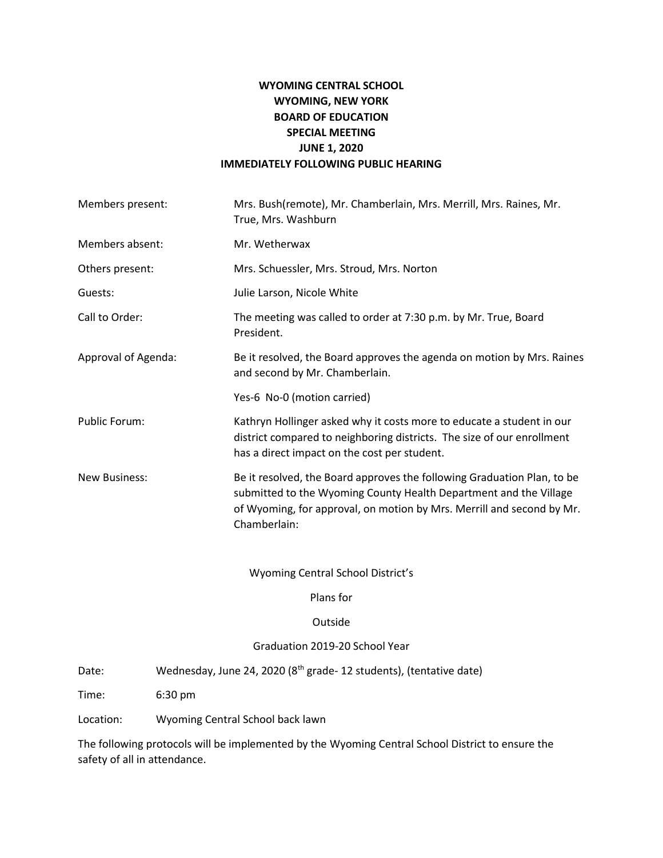# **WYOMING CENTRAL SCHOOL WYOMING, NEW YORK BOARD OF EDUCATION SPECIAL MEETING JUNE 1, 2020 IMMEDIATELY FOLLOWING PUBLIC HEARING**

| Members present:     | Mrs. Bush(remote), Mr. Chamberlain, Mrs. Merrill, Mrs. Raines, Mr.<br>True, Mrs. Washburn                                                                                                                                             |
|----------------------|---------------------------------------------------------------------------------------------------------------------------------------------------------------------------------------------------------------------------------------|
| Members absent:      | Mr. Wetherwax                                                                                                                                                                                                                         |
| Others present:      | Mrs. Schuessler, Mrs. Stroud, Mrs. Norton                                                                                                                                                                                             |
| Guests:              | Julie Larson, Nicole White                                                                                                                                                                                                            |
| Call to Order:       | The meeting was called to order at 7:30 p.m. by Mr. True, Board<br>President.                                                                                                                                                         |
| Approval of Agenda:  | Be it resolved, the Board approves the agenda on motion by Mrs. Raines<br>and second by Mr. Chamberlain.                                                                                                                              |
|                      | Yes-6 No-0 (motion carried)                                                                                                                                                                                                           |
| Public Forum:        | Kathryn Hollinger asked why it costs more to educate a student in our<br>district compared to neighboring districts. The size of our enrollment<br>has a direct impact on the cost per student.                                       |
| <b>New Business:</b> | Be it resolved, the Board approves the following Graduation Plan, to be<br>submitted to the Wyoming County Health Department and the Village<br>of Wyoming, for approval, on motion by Mrs. Merrill and second by Mr.<br>Chamberlain: |
|                      | Which is a Control Cohool District/s                                                                                                                                                                                                  |

Wyoming Central School District's

Plans for

### Outside

## Graduation 2019-20 School Year

Date: Wednesday, June 24, 2020 (8<sup>th</sup> grade- 12 students), (tentative date)

Time: 6:30 pm

Location: Wyoming Central School back lawn

The following protocols will be implemented by the Wyoming Central School District to ensure the safety of all in attendance.